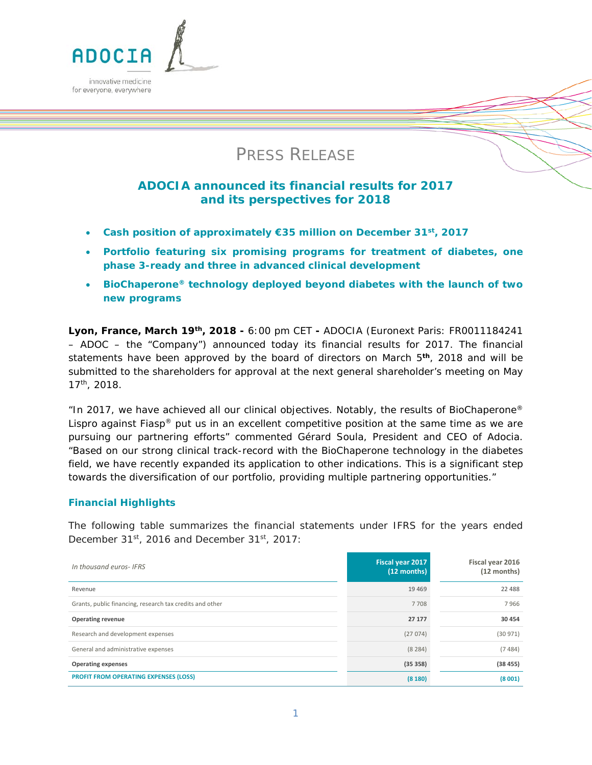

# PRESS RELEASE

# **ADOCIA announced its financial results for 2017 and its perspectives for 2018**

- **Cash position of approximately €35 million on December 31st, 2017**
- **Portfolio featuring six promising programs for treatment of diabetes, one phase 3-ready and three in advanced clinical development**
- **BioChaperone® technology deployed beyond diabetes with the launch of two new programs**

**Lyon, France, March 19th, 2018 -** 6:00 pm CET **-** ADOCIA (Euronext Paris: FR0011184241 – ADOC – the "Company") announced today its financial results for 2017. The financial statements have been approved by the board of directors on March 5**th**, 2018 and will be submitted to the shareholders for approval at the next general shareholder's meeting on May 17th, 2018.

*"In 2017, we have achieved all our clinical objectives. Notably, the results of BioChaperone® Lispro against Fiasp® put us in an excellent competitive position at the same time as we are pursuing our partnering efforts"* commented Gérard Soula, President and CEO of Adocia. *"Based on our strong clinical track-record with the BioChaperone technology in the diabetes field, we have recently expanded its application to other indications. This is a significant step towards the diversification of our portfolio, providing multiple partnering opportunities."* 

# **Financial Highlights**

The following table summarizes the financial statements under IFRS for the years ended December 31st, 2016 and December 31st, 2017:

| In thousand euros- IFRS                                  | Fiscal year 2017<br>(12 months) | Fiscal year 2016<br>$(12$ months) |
|----------------------------------------------------------|---------------------------------|-----------------------------------|
| Revenue                                                  | 19469                           | 22 488                            |
| Grants, public financing, research tax credits and other | 7 7 0 8                         | 7966                              |
| <b>Operating revenue</b>                                 | 27 177                          | 30 454                            |
| Research and development expenses                        | (27074)                         | (30971)                           |
| General and administrative expenses                      | (8284)                          | (7484)                            |
| <b>Operating expenses</b>                                | (35358)                         | (38455)                           |
| <b>PROFIT FROM OPERATING EXPENSES (LOSS)</b>             | (8180)                          | (8001)                            |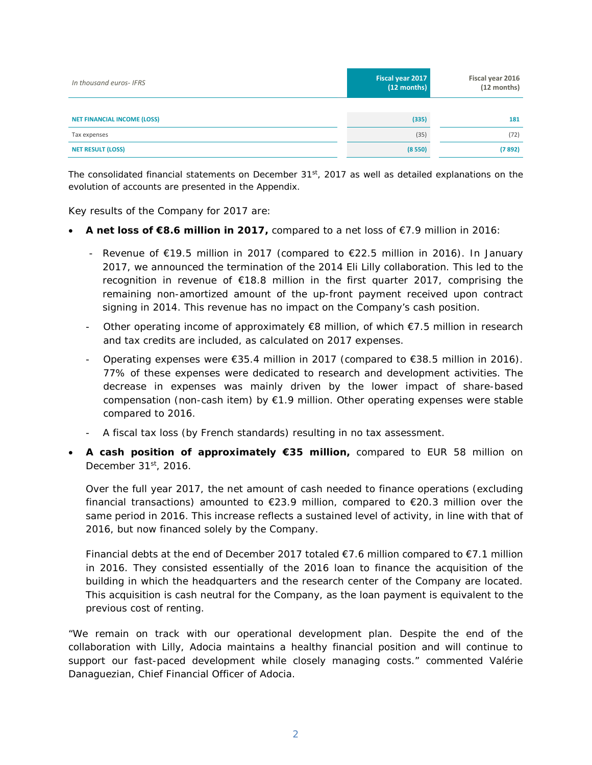| In thousand euros- IFRS            | Fiscal year 2017<br>$(12$ months) | Fiscal year 2016<br>$(12$ months) |
|------------------------------------|-----------------------------------|-----------------------------------|
|                                    |                                   |                                   |
| <b>NET FINANCIAL INCOME (LOSS)</b> | (335)                             | 181                               |
| Tax expenses                       | (35)                              | (72)                              |
| <b>NET RESULT (LOSS)</b>           | (8550)                            | (7892)                            |

*The consolidated financial statements on December 31st, 2017 as well as detailed explanations on the evolution of accounts are presented in the Appendix.*

Key results of the Company for 2017 are:

- **A net loss of €8.6 million in 2017,** compared to a net loss of €7.9 million in 2016:
	- Revenue of €19.5 million in 2017 (compared to €22.5 million in 2016). In January 2017, we announced the termination of the 2014 Eli Lilly collaboration. This led to the recognition in revenue of €18.8 million in the first quarter 2017, comprising the remaining non-amortized amount of the up-front payment received upon contract signing in 2014. This revenue has no impact on the Company's cash position.
	- Other operating income of approximately  $\epsilon$ 8 million, of which  $\epsilon$ 7.5 million in research and tax credits are included, as calculated on 2017 expenses.
	- Operating expenses were €35.4 million in 2017 (compared to €38.5 million in 2016). 77% of these expenses were dedicated to research and development activities. The decrease in expenses was mainly driven by the lower impact of share-based compensation (non-cash item) by  $\epsilon$ 1.9 million. Other operating expenses were stable compared to 2016.
	- A fiscal tax loss (by French standards) resulting in no tax assessment.
- **A cash position of approximately €35 million,** compared to EUR 58 million on December  $31<sup>st</sup>$ , 2016.

Over the full year 2017, the net amount of cash needed to finance operations (excluding financial transactions) amounted to  $\epsilon$ 23.9 million, compared to  $\epsilon$ 20.3 million over the same period in 2016. This increase reflects a sustained level of activity, in line with that of 2016, but now financed solely by the Company.

Financial debts at the end of December 2017 totaled  $\epsilon$ 7.6 million compared to  $\epsilon$ 7.1 million in 2016. They consisted essentially of the 2016 loan to finance the acquisition of the building in which the headquarters and the research center of the Company are located. This acquisition is cash neutral for the Company, as the loan payment is equivalent to the previous cost of renting.

*"We remain on track with our operational development plan. Despite the end of the collaboration with Lilly, Adocia maintains a healthy financial position and will continue to support our fast-paced development while closely managing costs."* commented Valérie Danaguezian, Chief Financial Officer of Adocia.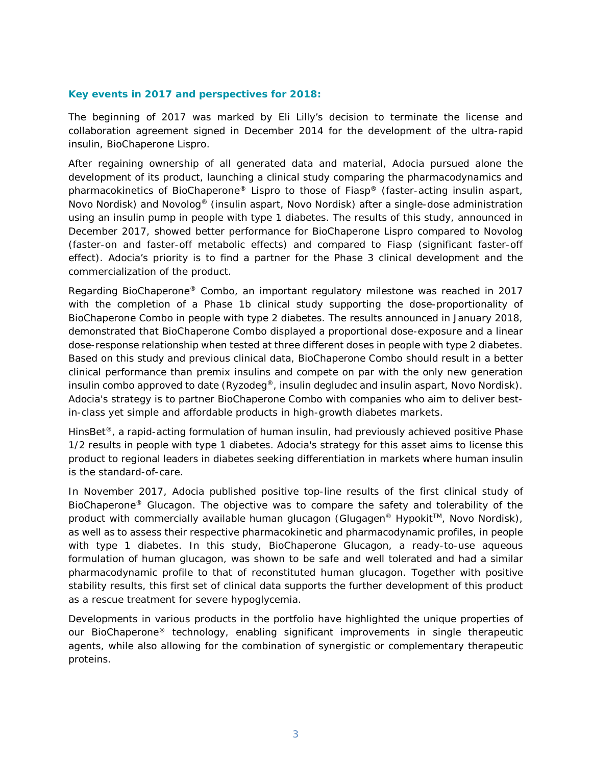# **Key events in 2017 and perspectives for 2018:**

The beginning of 2017 was marked by Eli Lilly's decision to terminate the license and collaboration agreement signed in December 2014 for the development of the ultra-rapid insulin, BioChaperone Lispro.

After regaining ownership of all generated data and material, Adocia pursued alone the development of its product, launching a clinical study comparing the pharmacodynamics and pharmacokinetics of BioChaperone® Lispro to those of Fiasp® (faster-acting insulin aspart, Novo Nordisk) and Novolog® (insulin aspart, Novo Nordisk) after a single-dose administration using an insulin pump in people with type 1 diabetes. The results of this study, announced in December 2017, showed better performance for BioChaperone Lispro compared to Novolog (faster-on and faster-off metabolic effects) and compared to Fiasp (significant faster-off effect). Adocia's priority is to find a partner for the Phase 3 clinical development and the commercialization of the product.

Regarding BioChaperone® Combo, an important regulatory milestone was reached in 2017 with the completion of a Phase 1b clinical study supporting the dose-proportionality of BioChaperone Combo in people with type 2 diabetes. The results announced in January 2018, demonstrated that BioChaperone Combo displayed a proportional dose-exposure and a linear dose-response relationship when tested at three different doses in people with type 2 diabetes. Based on this study and previous clinical data, BioChaperone Combo should result in a better clinical performance than premix insulins and compete on par with the only new generation insulin combo approved to date (Ryzodeg<sup>®</sup>, insulin degludec and insulin aspart, Novo Nordisk). Adocia's strategy is to partner BioChaperone Combo with companies who aim to deliver bestin-class yet simple and affordable products in high-growth diabetes markets.

HinsBet<sup>®</sup>, a rapid-acting formulation of human insulin, had previously achieved positive Phase 1/2 results in people with type 1 diabetes. Adocia's strategy for this asset aims to license this product to regional leaders in diabetes seeking differentiation in markets where human insulin is the standard-of-care.

In November 2017, Adocia published positive top-line results of the first clinical study of BioChaperone® Glucagon. The objective was to compare the safety and tolerability of the product with commercially available human glucagon (Glugagen<sup>®</sup> Hypokit<sup>™</sup>, Novo Nordisk), as well as to assess their respective pharmacokinetic and pharmacodynamic profiles, in people with type 1 diabetes. In this study, BioChaperone Glucagon, a ready-to-use aqueous formulation of human glucagon, was shown to be safe and well tolerated and had a similar pharmacodynamic profile to that of reconstituted human glucagon. Together with positive stability results, this first set of clinical data supports the further development of this product as a rescue treatment for severe hypoglycemia.

Developments in various products in the portfolio have highlighted the unique properties of our BioChaperone® technology, enabling significant improvements in single therapeutic agents, while also allowing for the combination of synergistic or complementary therapeutic proteins.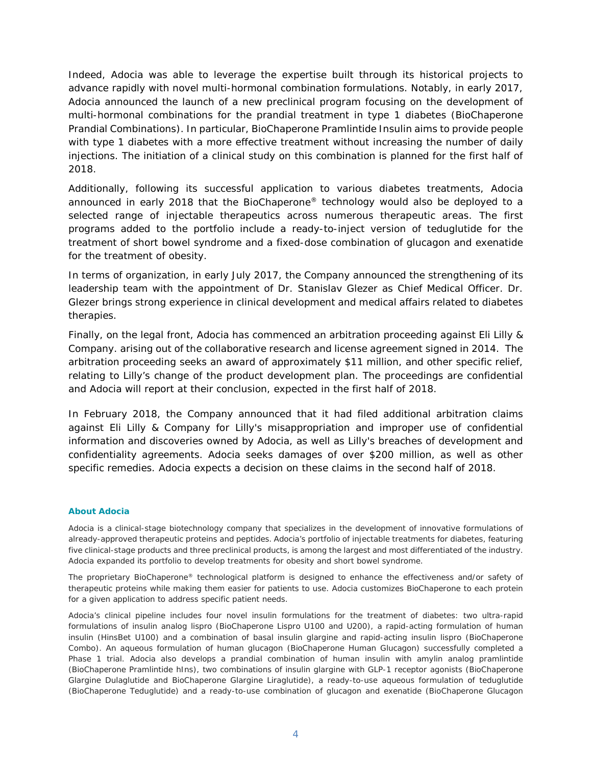Indeed, Adocia was able to leverage the expertise built through its historical projects to advance rapidly with novel multi-hormonal combination formulations. Notably, in early 2017, Adocia announced the launch of a new preclinical program focusing on the development of multi-hormonal combinations for the prandial treatment in type 1 diabetes (BioChaperone Prandial Combinations). In particular, BioChaperone Pramlintide Insulin aims to provide people with type 1 diabetes with a more effective treatment without increasing the number of daily injections. The initiation of a clinical study on this combination is planned for the first half of 2018.

Additionally, following its successful application to various diabetes treatments, Adocia announced in early 2018 that the BioChaperone® technology would also be deployed to a selected range of injectable therapeutics across numerous therapeutic areas. The first programs added to the portfolio include a ready-to-inject version of teduglutide for the treatment of short bowel syndrome and a fixed-dose combination of glucagon and exenatide for the treatment of obesity.

In terms of organization, in early July 2017, the Company announced the strengthening of its leadership team with the appointment of Dr. Stanislav Glezer as Chief Medical Officer. Dr. Glezer brings strong experience in clinical development and medical affairs related to diabetes therapies.

Finally, on the legal front, Adocia has commenced an arbitration proceeding against Eli Lilly & Company. arising out of the collaborative research and license agreement signed in 2014. The arbitration proceeding seeks an award of approximately \$11 million, and other specific relief, relating to Lilly's change of the product development plan. The proceedings are confidential and Adocia will report at their conclusion, expected in the first half of 2018.

In February 2018, the Company announced that it had filed additional arbitration claims against Eli Lilly & Company for Lilly's misappropriation and improper use of confidential information and discoveries owned by Adocia, as well as Lilly's breaches of development and confidentiality agreements. Adocia seeks damages of over \$200 million, as well as other specific remedies. Adocia expects a decision on these claims in the second half of 2018.

#### **About Adocia**

Adocia is a clinical-stage biotechnology company that specializes in the development of innovative formulations of already-approved therapeutic proteins and peptides. Adocia's portfolio of injectable treatments for diabetes, featuring five clinical-stage products and three preclinical products, is among the largest and most differentiated of the industry. Adocia expanded its portfolio to develop treatments for obesity and short bowel syndrome.

The proprietary BioChaperone® technological platform is designed to enhance the effectiveness and/or safety of therapeutic proteins while making them easier for patients to use. Adocia customizes BioChaperone to each protein for a given application to address specific patient needs.

Adocia's clinical pipeline includes four novel insulin formulations for the treatment of diabetes: two ultra-rapid formulations of insulin analog lispro (BioChaperone Lispro U100 and U200), a rapid-acting formulation of human insulin (HinsBet U100) and a combination of basal insulin glargine and rapid-acting insulin lispro (BioChaperone Combo). An aqueous formulation of human glucagon (BioChaperone Human Glucagon) successfully completed a Phase 1 trial. Adocia also develops a prandial combination of human insulin with amylin analog pramlintide (BioChaperone Pramlintide hIns), two combinations of insulin glargine with GLP-1 receptor agonists (BioChaperone Glargine Dulaglutide and BioChaperone Glargine Liraglutide), a ready-to-use aqueous formulation of teduglutide (BioChaperone Teduglutide) and a ready-to-use combination of glucagon and exenatide (BioChaperone Glucagon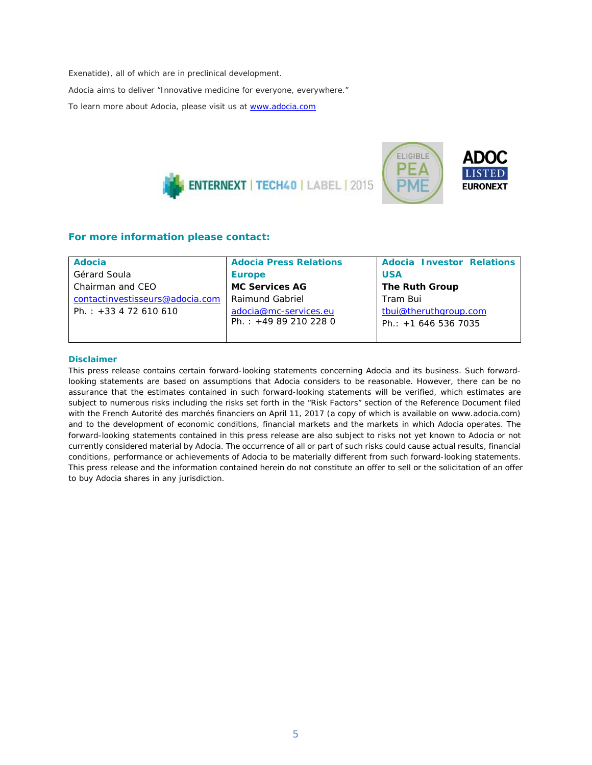Exenatide), all of which are in preclinical development.

*Adocia aims to deliver "Innovative medicine for everyone, everywhere."*

To learn more about Adocia, please visit us at [www.adocia.com](http://www.adocia.com/)





| <b>Adocia</b>                   | <b>Adocia Press Relations</b> | <b>Adocia Investor Relations</b> |
|---------------------------------|-------------------------------|----------------------------------|
| Gérard Soula                    | <b>Europe</b>                 | <b>USA</b>                       |
| Chairman and CEO                | <b>MC Services AG</b>         | The Ruth Group                   |
| contactinvestisseurs@adocia.com | Raimund Gabriel               | Tram Bui                         |
| Ph.: $+33$ 4 72 610 610         | adocia@mc-services.eu         | tbui@theruthgroup.com            |
|                                 | Ph.: $+49892102280$           | Ph.: $+16465367035$              |
|                                 |                               |                                  |

#### **Disclaimer**

*This press release contains certain forward-looking statements concerning Adocia and its business. Such forwardlooking statements are based on assumptions that Adocia considers to be reasonable. However, there can be no assurance that the estimates contained in such forward-looking statements will be verified, which estimates are subject to numerous risks including the risks set forth in the "Risk Factors" section of the Reference Document filed*  with the French Autorité des marchés financiers on April 11, 2017 (a copy of which is available on www.adocia.com) *and to the development of economic conditions, financial markets and the markets in which Adocia operates. The*  forward-looking statements contained in this press release are also subject to risks not yet known to Adocia or not *currently considered material by Adocia. The occurrence of all or part of such risks could cause actual results, financial conditions, performance or achievements of Adocia to be materially different from such forward-looking statements. This press release and the information contained herein do not constitute an offer to sell or the solicitation of an offer to buy Adocia shares in any jurisdiction.*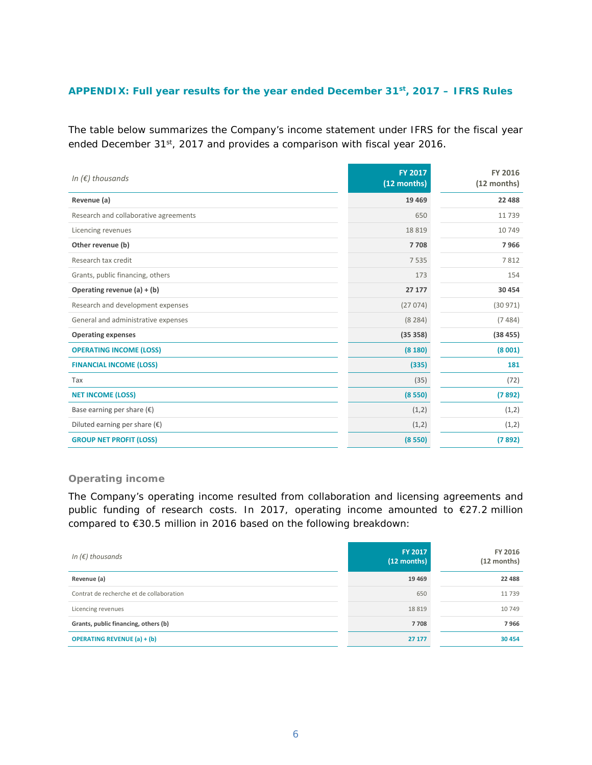# **APPENDIX: Full year results for the year ended December 31st, 2017 – IFRS Rules**

The table below summarizes the Company's income statement under IFRS for the fiscal year ended December 31<sup>st</sup>, 2017 and provides a comparison with fiscal year 2016.

| In $(\epsilon)$ thousands              | <b>FY 2017</b><br>(12 months) | FY 2016<br>$(12$ months) |
|----------------------------------------|-------------------------------|--------------------------|
| Revenue (a)                            | 19 4 69                       | 22 4 8 8                 |
| Research and collaborative agreements  | 650                           | 11739                    |
| Licencing revenues                     | 18819                         | 10749                    |
| Other revenue (b)                      | 7708                          | 7966                     |
| Research tax credit                    | 7535                          | 7812                     |
| Grants, public financing, others       | 173                           | 154                      |
| Operating revenue $(a) + (b)$          | 27 177                        | 30 454                   |
| Research and development expenses      | (27074)                       | (30971)                  |
| General and administrative expenses    | (8284)                        | (7484)                   |
| <b>Operating expenses</b>              | (35358)                       | (38455)                  |
| <b>OPERATING INCOME (LOSS)</b>         | (8180)                        | (8001)                   |
| <b>FINANCIAL INCOME (LOSS)</b>         | (335)                         | 181                      |
| Tax                                    | (35)                          | (72)                     |
| <b>NET INCOME (LOSS)</b>               | (8550)                        | (7892)                   |
| Base earning per share $(\epsilon)$    | (1,2)                         | (1,2)                    |
| Diluted earning per share $(\epsilon)$ | (1,2)                         | (1,2)                    |
| <b>GROUP NET PROFIT (LOSS)</b>         | (8550)                        | (7892)                   |

# **Operating income**

The Company's operating income resulted from collaboration and licensing agreements and public funding of research costs. In 2017, operating income amounted to €27.2 million compared to €30.5 million in 2016 based on the following breakdown:

| In $(\epsilon)$ thousands                | FY 2017<br>(12 months) | FY 2016<br>(12 months) |
|------------------------------------------|------------------------|------------------------|
| Revenue (a)                              | 19 4 69                | 22 488                 |
| Contrat de recherche et de collaboration | 650                    | 11739                  |
| Licencing revenues                       | 18819                  | 10 749                 |
| Grants, public financing, others (b)     | 7708                   | 7966                   |
| <b>OPERATING REVENUE (a) + (b)</b>       | 27 177                 | 30 454                 |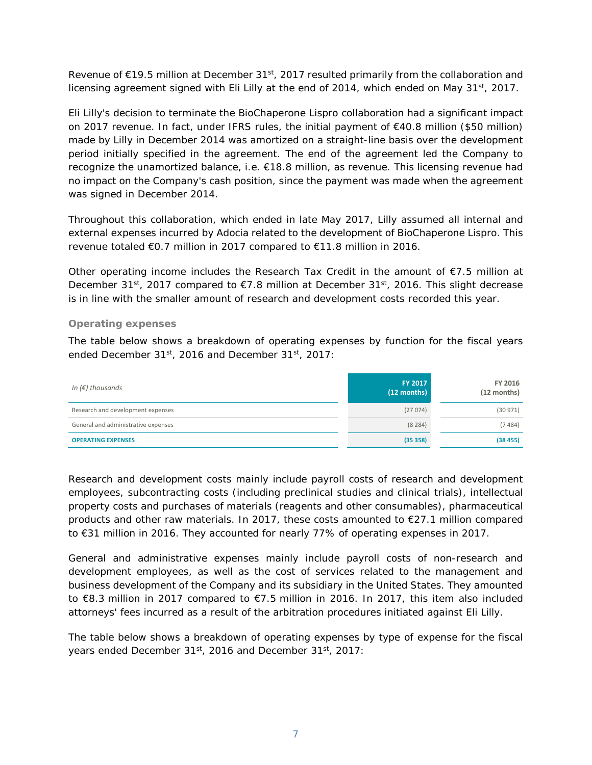Revenue of  $\epsilon$ 19.5 million at December 31<sup>st</sup>, 2017 resulted primarily from the collaboration and licensing agreement signed with Eli Lilly at the end of 2014, which ended on May  $31^{st}$ , 2017.

Eli Lilly's decision to terminate the BioChaperone Lispro collaboration had a significant impact on 2017 revenue. In fact, under IFRS rules, the initial payment of €40.8 million (\$50 million) made by Lilly in December 2014 was amortized on a straight-line basis over the development period initially specified in the agreement. The end of the agreement led the Company to recognize the unamortized balance, i.e. €18.8 million, as revenue. This licensing revenue had no impact on the Company's cash position, since the payment was made when the agreement was signed in December 2014.

Throughout this collaboration, which ended in late May 2017, Lilly assumed all internal and external expenses incurred by Adocia related to the development of BioChaperone Lispro. This revenue totaled €0.7 million in 2017 compared to €11.8 million in 2016.

Other operating income includes the Research Tax Credit in the amount of  $E$ 7.5 million at December 31<sup>st</sup>, 2017 compared to  $\epsilon$ 7.8 million at December 31<sup>st</sup>, 2016. This slight decrease is in line with the smaller amount of research and development costs recorded this year.

# **Operating expenses**

The table below shows a breakdown of operating expenses by function for the fiscal years ended December 31<sup>st</sup>, 2016 and December 31<sup>st</sup>, 2017:

| In ( $\epsilon$ ) thousands         | FY 2017<br>(12 months) | FY 2016<br>$(12$ months) |
|-------------------------------------|------------------------|--------------------------|
| Research and development expenses   | (27074)                | (30971)                  |
| General and administrative expenses | (8284)                 | (7484)                   |
| <b>OPERATING EXPENSES</b>           | (35358)                | (38455)                  |

Research and development costs mainly include payroll costs of research and development employees, subcontracting costs (including preclinical studies and clinical trials), intellectual property costs and purchases of materials (reagents and other consumables), pharmaceutical products and other raw materials. In 2017, these costs amounted to €27.1 million compared to €31 million in 2016. They accounted for nearly 77% of operating expenses in 2017.

General and administrative expenses mainly include payroll costs of non-research and development employees, as well as the cost of services related to the management and business development of the Company and its subsidiary in the United States. They amounted to €8.3 million in 2017 compared to €7.5 million in 2016. In 2017, this item also included attorneys' fees incurred as a result of the arbitration procedures initiated against Eli Lilly.

The table below shows a breakdown of operating expenses by type of expense for the fiscal years ended December 31st, 2016 and December 31st, 2017: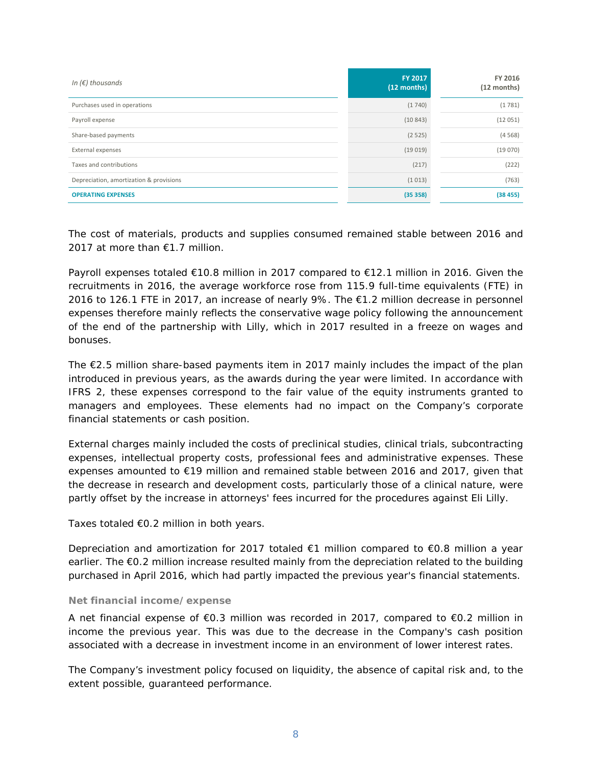| In $(\epsilon)$ thousands               | FY 2017<br>(12 months) | FY 2016<br>(12 months) |
|-----------------------------------------|------------------------|------------------------|
| Purchases used in operations            | (1740)                 | (1781)                 |
| Payroll expense                         | (10843)                | (12051)                |
| Share-based payments                    | (2525)                 | (4568)                 |
| External expenses                       | (19019)                | (19070)                |
| Taxes and contributions                 | (217)                  | (222)                  |
| Depreciation, amortization & provisions | (1013)                 | (763)                  |
| <b>OPERATING EXPENSES</b>               | (35358)                | (38455)                |

The cost of materials, products and supplies consumed remained stable between 2016 and 2017 at more than €1.7 million.

Payroll expenses totaled €10.8 million in 2017 compared to €12.1 million in 2016. Given the recruitments in 2016, the average workforce rose from 115.9 full-time equivalents (FTE) in 2016 to 126.1 FTE in 2017, an increase of nearly 9%. The €1.2 million decrease in personnel expenses therefore mainly reflects the conservative wage policy following the announcement of the end of the partnership with Lilly, which in 2017 resulted in a freeze on wages and bonuses.

The €2.5 million share-based payments item in 2017 mainly includes the impact of the plan introduced in previous years, as the awards during the year were limited. In accordance with IFRS 2, these expenses correspond to the fair value of the equity instruments granted to managers and employees. These elements had no impact on the Company's corporate financial statements or cash position.

External charges mainly included the costs of preclinical studies, clinical trials, subcontracting expenses, intellectual property costs, professional fees and administrative expenses. These expenses amounted to €19 million and remained stable between 2016 and 2017, given that the decrease in research and development costs, particularly those of a clinical nature, were partly offset by the increase in attorneys' fees incurred for the procedures against Eli Lilly.

Taxes totaled €0.2 million in both years.

Depreciation and amortization for 2017 totaled €1 million compared to €0.8 million a year earlier. The €0.2 million increase resulted mainly from the depreciation related to the building purchased in April 2016, which had partly impacted the previous year's financial statements.

# **Net financial income/expense**

A net financial expense of €0.3 million was recorded in 2017, compared to €0.2 million in income the previous year. This was due to the decrease in the Company's cash position associated with a decrease in investment income in an environment of lower interest rates.

The Company's investment policy focused on liquidity, the absence of capital risk and, to the extent possible, guaranteed performance.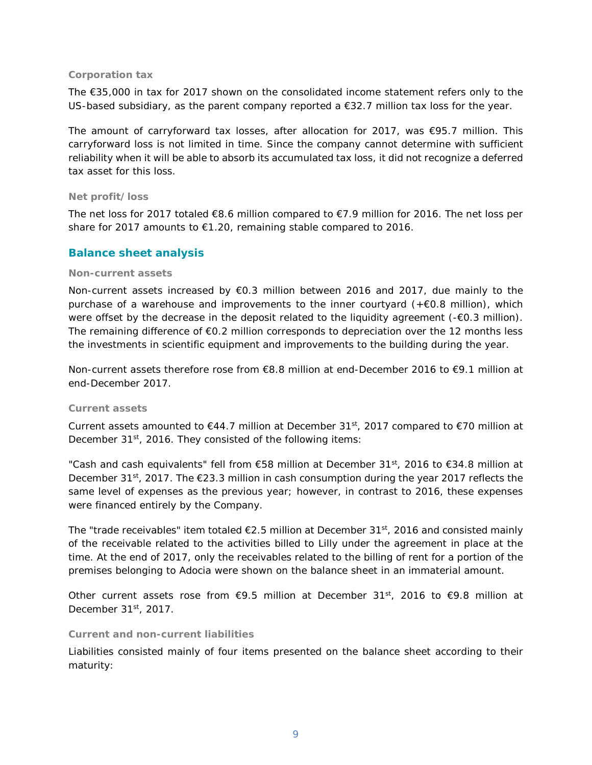#### **Corporation tax**

The €35,000 in tax for 2017 shown on the consolidated income statement refers only to the US-based subsidiary, as the parent company reported a €32.7 million tax loss for the year.

The amount of carryforward tax losses, after allocation for 2017, was  $\epsilon$ 95.7 million. This carryforward loss is not limited in time. Since the company cannot determine with sufficient reliability when it will be able to absorb its accumulated tax loss, it did not recognize a deferred tax asset for this loss.

# **Net profit/loss**

The net loss for 2017 totaled  $\epsilon$ 8.6 million compared to  $\epsilon$ 7.9 million for 2016. The net loss per share for 2017 amounts to €1.20, remaining stable compared to 2016.

# **Balance sheet analysis**

# **Non-current assets**

Non-current assets increased by €0.3 million between 2016 and 2017, due mainly to the purchase of a warehouse and improvements to the inner courtyard  $(+60.8 \text{ million})$ , which were offset by the decrease in the deposit related to the liquidity agreement (-€0.3 million). The remaining difference of  $E$ 0.2 million corresponds to depreciation over the 12 months less the investments in scientific equipment and improvements to the building during the year.

Non-current assets therefore rose from €8.8 million at end-December 2016 to €9.1 million at end-December 2017.

# **Current assets**

Current assets amounted to  $\epsilon$ 44.7 million at December 31<sup>st</sup>, 2017 compared to  $\epsilon$ 70 million at December  $31^{st}$ , 2016. They consisted of the following items:

"Cash and cash equivalents" fell from  $\epsilon$ 58 million at December 31<sup>st</sup>, 2016 to  $\epsilon$ 34.8 million at December 31<sup>st</sup>, 2017. The €23.3 million in cash consumption during the year 2017 reflects the same level of expenses as the previous year; however, in contrast to 2016, these expenses were financed entirely by the Company.

The "trade receivables" item totaled  $\epsilon$ 2.5 million at December 31<sup>st</sup>, 2016 and consisted mainly of the receivable related to the activities billed to Lilly under the agreement in place at the time. At the end of 2017, only the receivables related to the billing of rent for a portion of the premises belonging to Adocia were shown on the balance sheet in an immaterial amount.

Other current assets rose from  $\epsilon$ 9.5 million at December 31<sup>st</sup>, 2016 to  $\epsilon$ 9.8 million at December  $31<sup>st</sup>$ , 2017.

#### **Current and non-current liabilities**

Liabilities consisted mainly of four items presented on the balance sheet according to their maturity: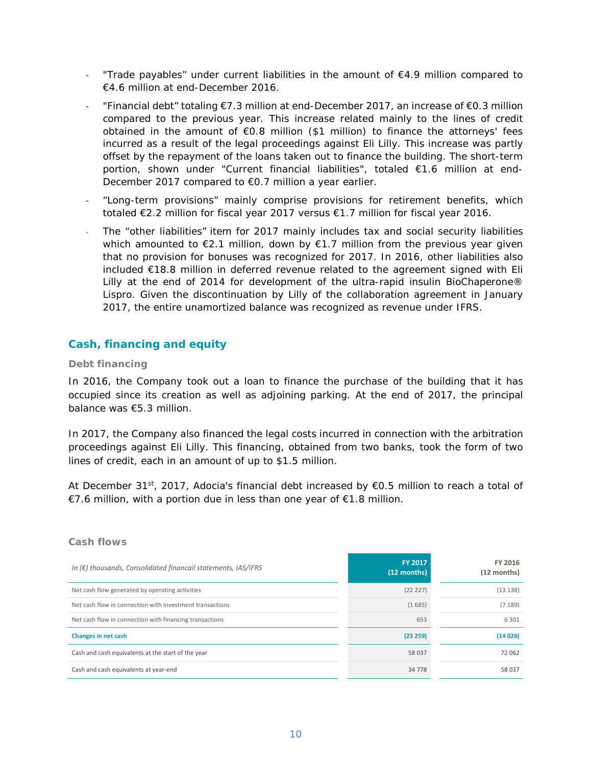- "Trade payables" under current liabilities in the amount of  $E4.9$  million compared to €4.6 million at end-December 2016.
- "Financial debt" totaling €7.3 million at end-December 2017, an increase of €0.3 million compared to the previous year. This increase related mainly to the lines of credit obtained in the amount of  $\epsilon$ 0.8 million (\$1 million) to finance the attorneys' fees incurred as a result of the legal proceedings against Eli Lilly. This increase was partly offset by the repayment of the loans taken out to finance the building. The short-term portion, shown under "Current financial liabilities", totaled €1.6 million at end-December 2017 compared to €0.7 million a year earlier.
- "Long-term provisions" mainly comprise provisions for retirement benefits, which totaled €2.2 million for fiscal year 2017 versus €1.7 million for fiscal year 2016.
- The "other liabilities" item for 2017 mainly includes tax and social security liabilities which amounted to  $E$ 2.1 million, down by  $E$ 1.7 million from the previous year given that no provision for bonuses was recognized for 2017. In 2016, other liabilities also included €18.8 million in deferred revenue related to the agreement signed with Eli Lilly at the end of 2014 for development of the ultra-rapid insulin BioChaperone® Lispro. Given the discontinuation by Lilly of the collaboration agreement in January 2017, the entire unamortized balance was recognized as revenue under IFRS.

# **Cash, financing and equity**

# **Debt financing**

In 2016, the Company took out a loan to finance the purchase of the building that it has occupied since its creation as well as adjoining parking. At the end of 2017, the principal balance was €5.3 million.

In 2017, the Company also financed the legal costs incurred in connection with the arbitration proceedings against Eli Lilly. This financing, obtained from two banks, took the form of two lines of credit, each in an amount of up to \$1.5 million.

At December 31<sup>st</sup>, 2017, Adocia's financial debt increased by  $\epsilon$ 0.5 million to reach a total of €7.6 million, with a portion due in less than one year of €1.8 million.

| In $(\epsilon)$ thousands, Consolidated financail statements, IAS/IFRS | FY 2017<br>(12 months) | FY 2016<br>(12 months) |
|------------------------------------------------------------------------|------------------------|------------------------|
| Net cash flow generated by operating activities                        | (22 227)               | (13138)                |
| Net cash flow in connection with investment transactions               | (1685)                 | (7189)                 |
| Net cash flow in connection with financing transactions                | 653                    | 6 3 0 1                |
| Changes in net cash                                                    | (23 259)               | (14026)                |
| Cash and cash equivalents at the start of the year                     | 58 037                 | 72 062                 |
| Cash and cash equivalents at year-end                                  | 34 7 7 8               | 58 037                 |

# **Cash flows**